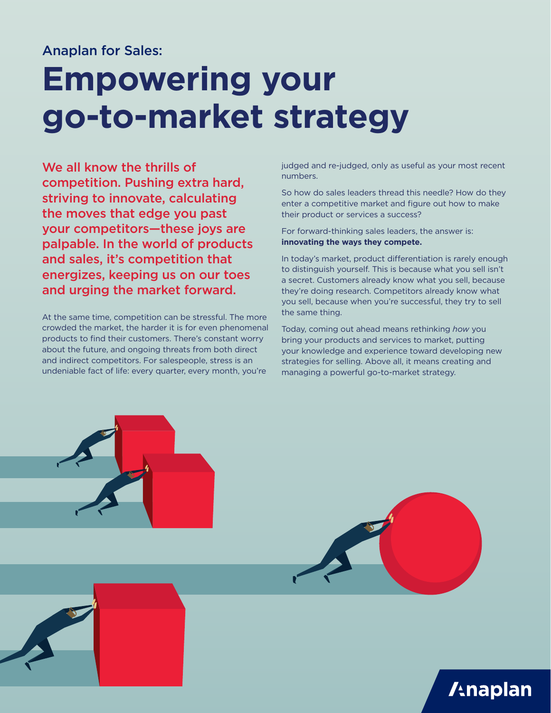#### Anaplan for Sales:

# **Empowering your go-to-market strategy**

We all know the thrills of competition. Pushing extra hard, striving to innovate, calculating the moves that edge you past your competitors—these joys are palpable. In the world of products and sales, it's competition that energizes, keeping us on our toes and urging the market forward.

At the same time, competition can be stressful. The more crowded the market, the harder it is for even phenomenal products to find their customers. There's constant worry about the future, and ongoing threats from both direct and indirect competitors. For salespeople, stress is an undeniable fact of life: every quarter, every month, you're

judged and re-judged, only as useful as your most recent numbers.

So how do sales leaders thread this needle? How do they enter a competitive market and figure out how to make their product or services a success?

For forward-thinking sales leaders, the answer is: **innovating the ways they compete.**

In today's market, product differentiation is rarely enough to distinguish yourself. This is because what you sell isn't a secret. Customers already know what you sell, because they're doing research. Competitors already know what you sell, because when you're successful, they try to sell the same thing.

Today, coming out ahead means rethinking *how* you bring your products and services to market, putting your knowledge and experience toward developing new strategies for selling. Above all, it means creating and managing a powerful go-to-market strategy.

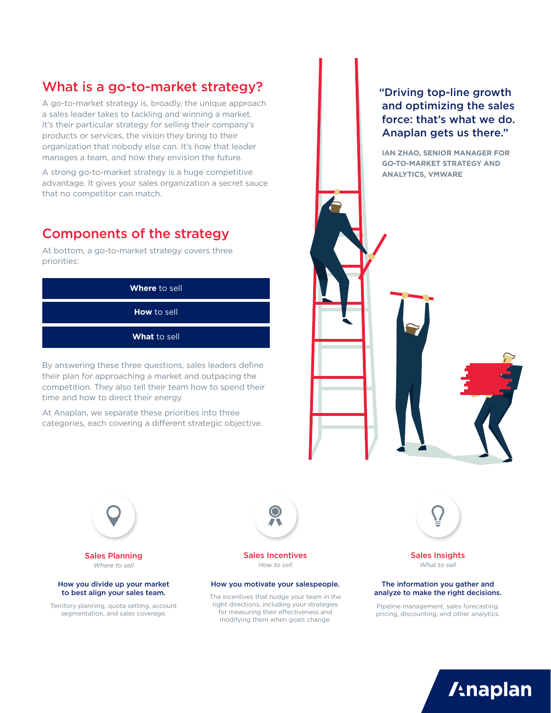## What is a go-to-market strategy?

A go-to-market strategy is, broadly, the unique approach a sales leader takes to tackling and winning a market. It's their particular strategy for selling their company's products or services, the vision they bring to their organization that nobody else can. It's how that leader manages a team, and how they envision the future.

A strong go-to-market strategy is a huge competitive advantage. It gives your sales organization a secret sauce that no competitor can match.

### Components of the strategy

At bottom, a go-to-market strategy covers three priorities:



By answering these three questions, sales leaders define their plan for approaching a market and outpacing the competition. They also tell their team how to spend their time and how to direct their energy.

At Anaplan, we separate these priorities into three categories, each covering a different strategic objective.

How you divide up your market to best align your sales team.

Sales Planning *Where to sell*

Territory planning, quota setting, account segmentation, and sales coverage.

 "Driving top-line growth and optimizing the sales force: that's what we do. Anaplan gets us there."

**IAN ZHAO, SENIOR MANAGER FOR GO-TO-MARKET STRATEGY AND ANALYTICS, VMWARE**



Sales Incentives *How to sell*

#### How you motivate your salespeople. The information you gather and

The incentives that nudge your team in the right directions, including your strategies for measuring their effectiveness and modifying them when goals change.



Sales Insights *What to sell*

### analyze to make the right decisions.

Pipeline management, sales forecasting, pricing, discounting, and other analytics.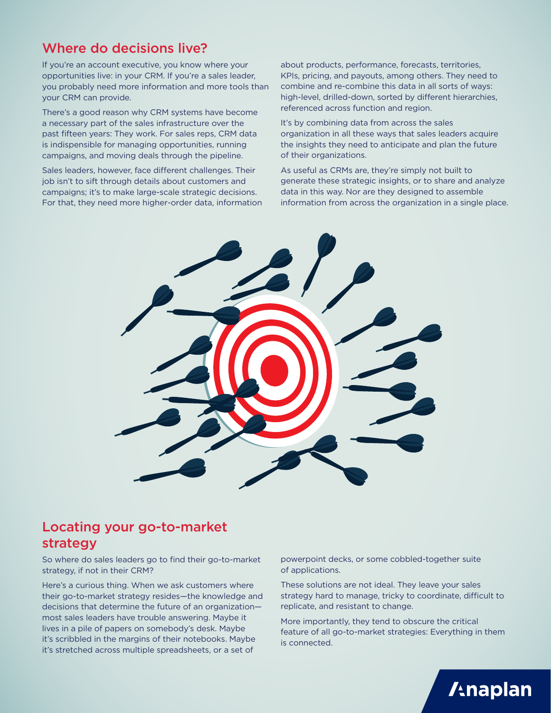### Where do decisions live?

If you're an account executive, you know where your opportunities live: in your CRM. If you're a sales leader, you probably need more information and more tools than your CRM can provide.

There's a good reason why CRM systems have become a necessary part of the sales infrastructure over the past fifteen years: They work. For sales reps, CRM data is indispensible for managing opportunities, running campaigns, and moving deals through the pipeline.

Sales leaders, however, face different challenges. Their job isn't to sift through details about customers and campaigns; it's to make large-scale strategic decisions. For that, they need more higher-order data, information about products, performance, forecasts, territories, KPIs, pricing, and payouts, among others. They need to combine and re-combine this data in all sorts of ways: high-level, drilled-down, sorted by different hierarchies, referenced across function and region.

It's by combining data from across the sales organization in all these ways that sales leaders acquire the insights they need to anticipate and plan the future of their organizations.

As useful as CRMs are, they're simply not built to generate these strategic insights, or to share and analyze data in this way. Nor are they designed to assemble information from across the organization in a single place.



### Locating your go-to-market strategy

So where do sales leaders go to find their go-to-market strategy, if not in their CRM?

Here's a curious thing. When we ask customers where their go-to-market strategy resides—the knowledge and decisions that determine the future of an organization most sales leaders have trouble answering. Maybe it lives in a pile of papers on somebody's desk. Maybe it's scribbled in the margins of their notebooks. Maybe it's stretched across multiple spreadsheets, or a set of

powerpoint decks, or some cobbled-together suite of applications.

These solutions are not ideal. They leave your sales strategy hard to manage, tricky to coordinate, difficult to replicate, and resistant to change.

More importantly, they tend to obscure the critical feature of all go-to-market strategies: Everything in them is connected.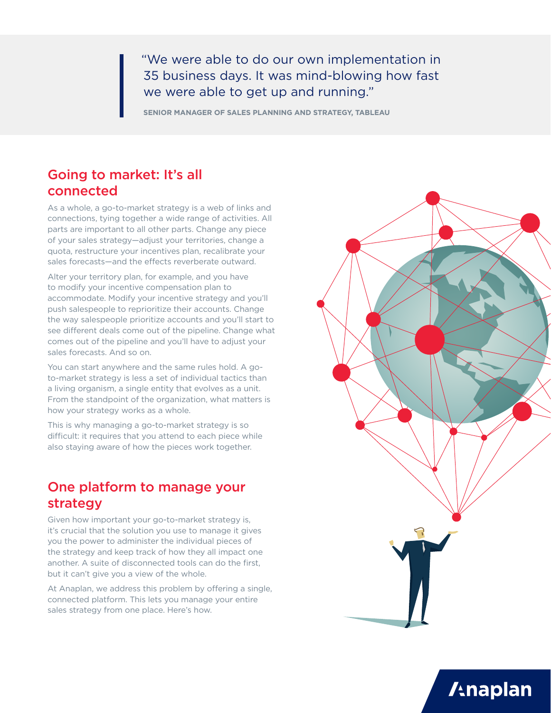"We were able to do our own implementation in 35 business days. It was mind-blowing how fast we were able to get up and running."

**SENIOR MANAGER OF SALES PLANNING AND STRATEGY, TABLEAU**

#### Going to market: It's all connected

As a whole, a go-to-market strategy is a web of links and connections, tying together a wide range of activities. All parts are important to all other parts. Change any piece of your sales strategy—adjust your territories, change a quota, restructure your incentives plan, recalibrate your sales forecasts—and the effects reverberate outward.

Alter your territory plan, for example, and you have to modify your incentive compensation plan to accommodate. Modify your incentive strategy and you'll push salespeople to reprioritize their accounts. Change the way salespeople prioritize accounts and you'll start to see different deals come out of the pipeline. Change what comes out of the pipeline and you'll have to adjust your sales forecasts. And so on.

You can start anywhere and the same rules hold. A goto-market strategy is less a set of individual tactics than a living organism, a single entity that evolves as a unit. From the standpoint of the organization, what matters is how your strategy works as a whole.

This is why managing a go-to-market strategy is so difficult: it requires that you attend to each piece while also staying aware of how the pieces work together.

### One platform to manage your strategy

Given how important your go-to-market strategy is, it's crucial that the solution you use to manage it gives you the power to administer the individual pieces of the strategy and keep track of how they all impact one another. A suite of disconnected tools can do the first, but it can't give you a view of the whole.

At Anaplan, we address this problem by offering a single, connected platform. This lets you manage your entire sales strategy from one place. Here's how.

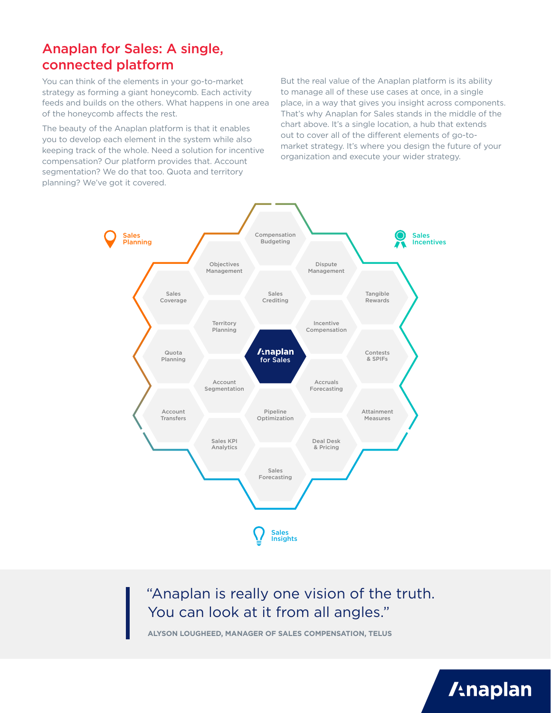#### Anaplan for Sales: A single, connected platform

You can think of the elements in your go-to-market strategy as forming a giant honeycomb. Each activity feeds and builds on the others. What happens in one area of the honeycomb affects the rest.

The beauty of the Anaplan platform is that it enables you to develop each element in the system while also keeping track of the whole. Need a solution for incentive compensation? Our platform provides that. Account segmentation? We do that too. Quota and territory planning? We've got it covered.

But the real value of the Anaplan platform is its ability to manage all of these use cases at once, in a single place, in a way that gives you insight across components. That's why Anaplan for Sales stands in the middle of the chart above. It's a single location, a hub that extends out to cover all of the different elements of go-tomarket strategy. It's where you design the future of your organization and execute your wider strategy.



## "Anaplan is really one vision of the truth. You can look at it from all angles."

**ALYSON LOUGHEED, MANAGER OF SALES COMPENSATION, TELUS**

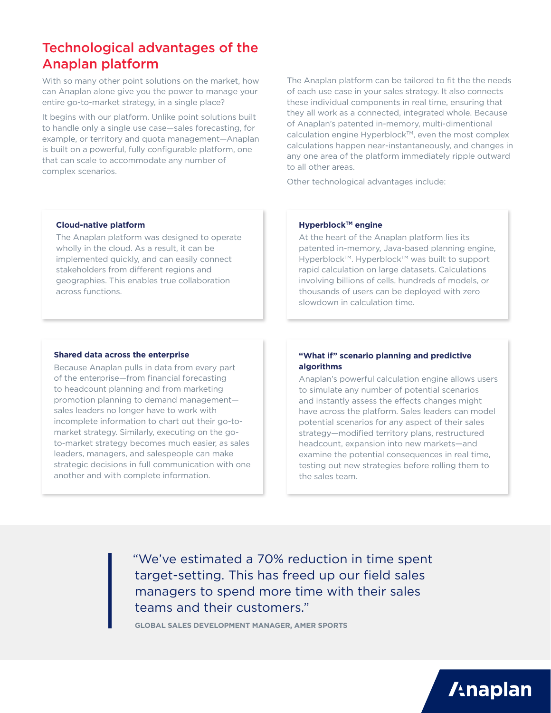### Technological advantages of the Anaplan platform

With so many other point solutions on the market, how can Anaplan alone give you the power to manage your entire go-to-market strategy, in a single place?

It begins with our platform. Unlike point solutions built to handle only a single use case—sales forecasting, for example, or territory and quota management—Anaplan is built on a powerful, fully configurable platform, one that can scale to accommodate any number of complex scenarios.

The Anaplan platform can be tailored to fit the the needs of each use case in your sales strategy. It also connects these individual components in real time, ensuring that they all work as a connected, integrated whole. Because of Anaplan's patented in-memory, multi-dimentional calculation engine Hyperblock™, even the most complex calculations happen near-instantaneously, and changes in any one area of the platform immediately ripple outward to all other areas.

Other technological advantages include:

#### **Cloud-native platform**

The Anaplan platform was designed to operate wholly in the cloud. As a result, it can be implemented quickly, and can easily connect stakeholders from different regions and geographies. This enables true collaboration across functions.

#### **Hyperblock™ engine**

At the heart of the Anaplan platform lies its patented in-memory, Java-based planning engine, Hyperblock™. Hyperblock™ was built to support rapid calculation on large datasets. Calculations involving billions of cells, hundreds of models, or thousands of users can be deployed with zero slowdown in calculation time.

#### **Shared data across the enterprise**

Because Anaplan pulls in data from every part of the enterprise—from financial forecasting to headcount planning and from marketing promotion planning to demand management sales leaders no longer have to work with incomplete information to chart out their go-tomarket strategy. Similarly, executing on the goto-market strategy becomes much easier, as sales leaders, managers, and salespeople can make strategic decisions in full communication with one another and with complete information.

#### **"What if" scenario planning and predictive algorithms**

Anaplan's powerful calculation engine allows users to simulate any number of potential scenarios and instantly assess the effects changes might have across the platform. Sales leaders can model potential scenarios for any aspect of their sales strategy—modified territory plans, restructured headcount, expansion into new markets—and examine the potential consequences in real time, testing out new strategies before rolling them to the sales team.

**/tnaplan** 

 "We've estimated a 70% reduction in time spent target-setting. This has freed up our field sales managers to spend more time with their sales teams and their customers."

**GLOBAL SALES DEVELOPMENT MANAGER, AMER SPORTS**